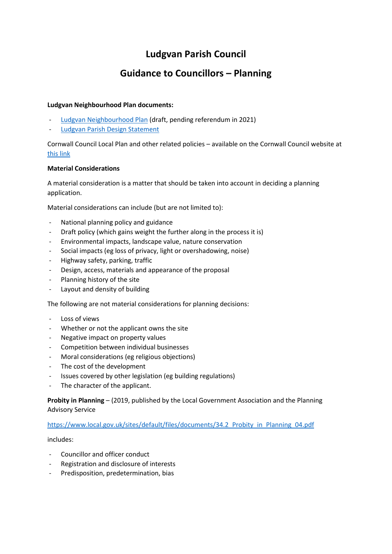# **Ludgvan Parish Council**

# **Guidance to Councillors – Planning**

### **Ludgvan Neighbourhood Plan documents:**

- [Ludgvan Neighbourhood Plan](https://www.ludgvan.org/wp-content/uploads/2020/01/Ludgvan-NDP-Post-Examination-Final-Version-for-CC-Approval-Jan-2020-Appendix-3.pdf) (draft, pending referendum in 2021)
- [Ludgvan Parish Design Statement](https://www.ludgvan.org/wp-content/uploads/2020/03/Parish-Design-Statement-Final-issue.pdf)

Cornwall Council Local Plan and other related policies – available on the Cornwall Council website at [this link](https://www.cornwall.gov.uk/environment-and-planning/planning/planning-policy/adopted-plans/)

## **Material Considerations**

A material consideration is a matter that should be taken into account in deciding a planning application.

Material considerations can include (but are not limited to):

- National planning policy and guidance
- Draft policy (which gains weight the further along in the process it is)
- Environmental impacts, landscape value, nature conservation
- Social impacts (eg loss of privacy, light or overshadowing, noise)
- Highway safety, parking, traffic
- Design, access, materials and appearance of the proposal
- Planning history of the site
- Layout and density of building

The following are not material considerations for planning decisions:

- Loss of views
- Whether or not the applicant owns the site
- Negative impact on property values
- Competition between individual businesses
- Moral considerations (eg religious objections)
- The cost of the development
- Issues covered by other legislation (eg building regulations)
- The character of the applicant.

**Probity in Planning** – (2019, published by the Local Government Association and the Planning Advisory Service

### [https://www.local.gov.uk/sites/default/files/documents/34.2\\_Probity\\_in\\_Planning\\_04.pdf](https://www.local.gov.uk/sites/default/files/documents/34.2_Probity_in_Planning_04.pdf)

includes:

- Councillor and officer conduct
- Registration and disclosure of interests
- Predisposition, predetermination, bias